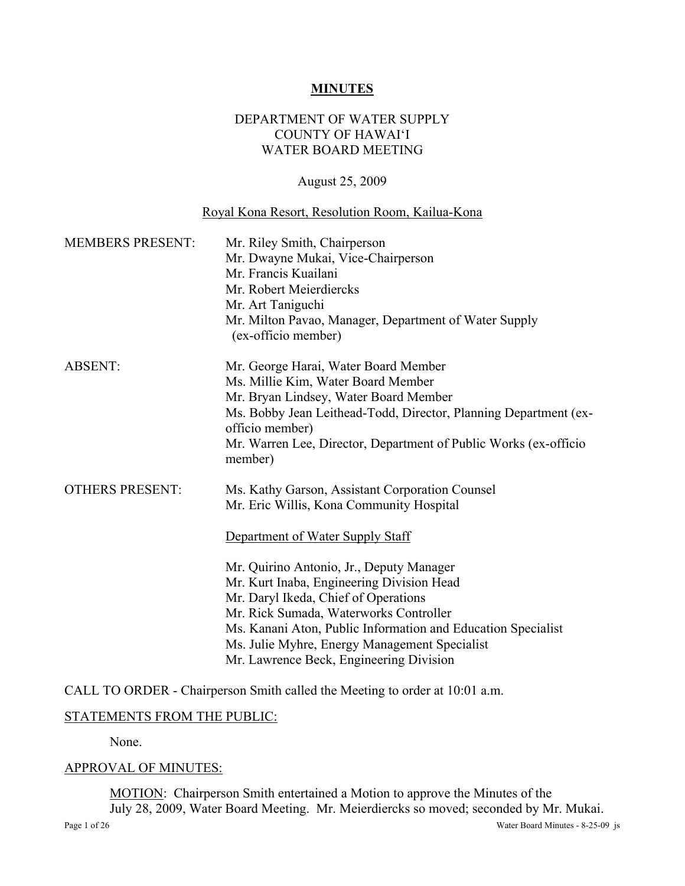#### **MINUTES**

#### DEPARTMENT OF WATER SUPPLY COUNTY OF HAWAI'I WATER BOARD MEETING

#### August 25, 2009

### Royal Kona Resort, Resolution Room, Kailua-Kona

| <b>MEMBERS PRESENT:</b> | Mr. Riley Smith, Chairperson<br>Mr. Dwayne Mukai, Vice-Chairperson<br>Mr. Francis Kuailani<br>Mr. Robert Meierdiercks<br>Mr. Art Taniguchi<br>Mr. Milton Pavao, Manager, Department of Water Supply<br>(ex-officio member)                                                                                                                                                                                                                                             |
|-------------------------|------------------------------------------------------------------------------------------------------------------------------------------------------------------------------------------------------------------------------------------------------------------------------------------------------------------------------------------------------------------------------------------------------------------------------------------------------------------------|
| <b>ABSENT:</b>          | Mr. George Harai, Water Board Member<br>Ms. Millie Kim, Water Board Member<br>Mr. Bryan Lindsey, Water Board Member<br>Ms. Bobby Jean Leithead-Todd, Director, Planning Department (ex-<br>officio member)<br>Mr. Warren Lee, Director, Department of Public Works (ex-officio<br>member)                                                                                                                                                                              |
| <b>OTHERS PRESENT:</b>  | Ms. Kathy Garson, Assistant Corporation Counsel<br>Mr. Eric Willis, Kona Community Hospital<br>Department of Water Supply Staff<br>Mr. Quirino Antonio, Jr., Deputy Manager<br>Mr. Kurt Inaba, Engineering Division Head<br>Mr. Daryl Ikeda, Chief of Operations<br>Mr. Rick Sumada, Waterworks Controller<br>Ms. Kanani Aton, Public Information and Education Specialist<br>Ms. Julie Myhre, Energy Management Specialist<br>Mr. Lawrence Beck, Engineering Division |

CALL TO ORDER - Chairperson Smith called the Meeting to order at 10:01 a.m.

### STATEMENTS FROM THE PUBLIC:

None.

#### APPROVAL OF MINUTES:

MOTION: Chairperson Smith entertained a Motion to approve the Minutes of the July 28, 2009, Water Board Meeting. Mr. Meierdiercks so moved; seconded by Mr. Mukai.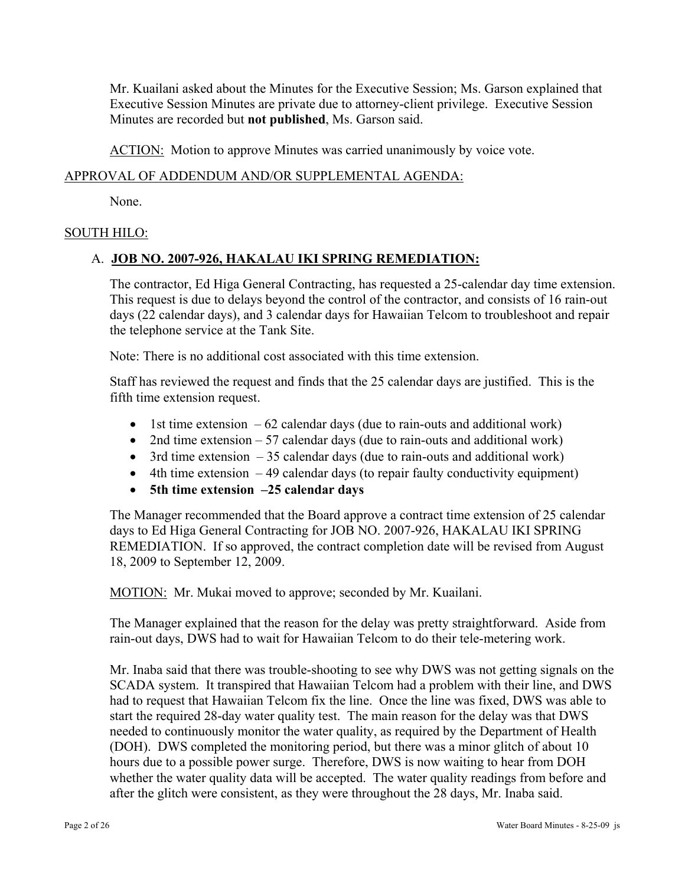Mr. Kuailani asked about the Minutes for the Executive Session; Ms. Garson explained that Executive Session Minutes are private due to attorney-client privilege. Executive Session Minutes are recorded but **not published**, Ms. Garson said.

ACTION: Motion to approve Minutes was carried unanimously by voice vote.

## APPROVAL OF ADDENDUM AND/OR SUPPLEMENTAL AGENDA:

None.

### SOUTH HILO:

### A. **JOB NO. 2007-926, HAKALAU IKI SPRING REMEDIATION:**

The contractor, Ed Higa General Contracting, has requested a 25-calendar day time extension. This request is due to delays beyond the control of the contractor, and consists of 16 rain-out days (22 calendar days), and 3 calendar days for Hawaiian Telcom to troubleshoot and repair the telephone service at the Tank Site.

Note: There is no additional cost associated with this time extension.

Staff has reviewed the request and finds that the 25 calendar days are justified. This is the fifth time extension request.

- 1st time extension  $-62$  calendar days (due to rain-outs and additional work)
- 2nd time extension 57 calendar days (due to rain-outs and additional work)
- $\bullet$  3rd time extension  $-35$  calendar days (due to rain-outs and additional work)
- $\bullet$  4th time extension  $-49$  calendar days (to repair faulty conductivity equipment)
- **5th time extension –25 calendar days**

The Manager recommended that the Board approve a contract time extension of 25 calendar days to Ed Higa General Contracting for JOB NO. 2007-926, HAKALAU IKI SPRING REMEDIATION. If so approved, the contract completion date will be revised from August 18, 2009 to September 12, 2009.

MOTION: Mr. Mukai moved to approve; seconded by Mr. Kuailani.

The Manager explained that the reason for the delay was pretty straightforward. Aside from rain-out days, DWS had to wait for Hawaiian Telcom to do their tele-metering work.

Mr. Inaba said that there was trouble-shooting to see why DWS was not getting signals on the SCADA system. It transpired that Hawaiian Telcom had a problem with their line, and DWS had to request that Hawaiian Telcom fix the line. Once the line was fixed, DWS was able to start the required 28-day water quality test. The main reason for the delay was that DWS needed to continuously monitor the water quality, as required by the Department of Health (DOH). DWS completed the monitoring period, but there was a minor glitch of about 10 hours due to a possible power surge. Therefore, DWS is now waiting to hear from DOH whether the water quality data will be accepted. The water quality readings from before and after the glitch were consistent, as they were throughout the 28 days, Mr. Inaba said.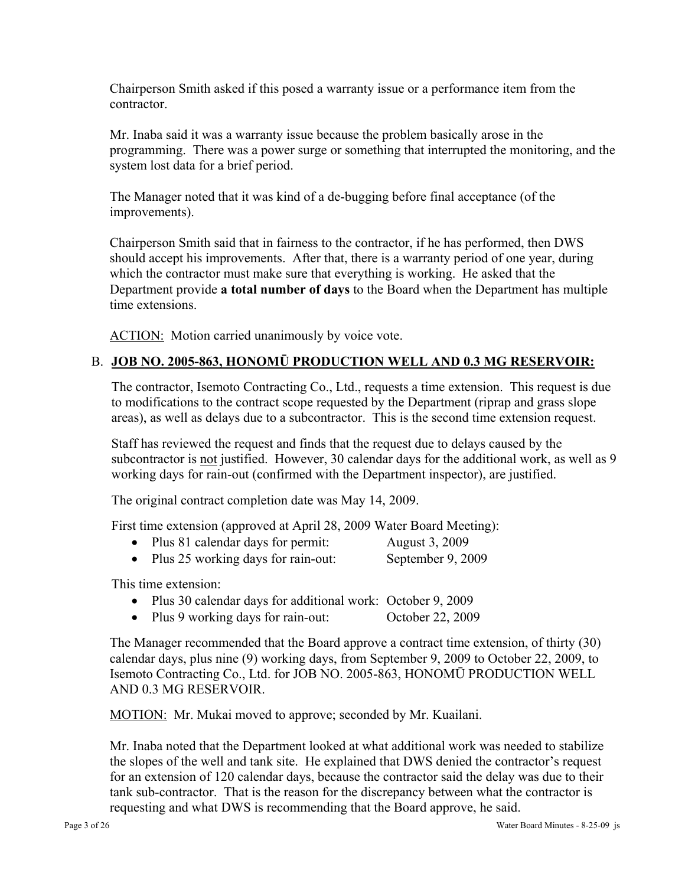Chairperson Smith asked if this posed a warranty issue or a performance item from the contractor.

Mr. Inaba said it was a warranty issue because the problem basically arose in the programming. There was a power surge or something that interrupted the monitoring, and the system lost data for a brief period.

The Manager noted that it was kind of a de-bugging before final acceptance (of the improvements).

Chairperson Smith said that in fairness to the contractor, if he has performed, then DWS should accept his improvements. After that, there is a warranty period of one year, during which the contractor must make sure that everything is working. He asked that the Department provide **a total number of days** to the Board when the Department has multiple time extensions.

ACTION: Motion carried unanimously by voice vote.

# B. **JOB NO. 2005-863, HONOMŪ PRODUCTION WELL AND 0.3 MG RESERVOIR:**

The contractor, Isemoto Contracting Co., Ltd., requests a time extension. This request is due to modifications to the contract scope requested by the Department (riprap and grass slope areas), as well as delays due to a subcontractor. This is the second time extension request.

Staff has reviewed the request and finds that the request due to delays caused by the subcontractor is not justified. However, 30 calendar days for the additional work, as well as 9 working days for rain-out (confirmed with the Department inspector), are justified.

The original contract completion date was May 14, 2009.

First time extension (approved at April 28, 2009 Water Board Meeting):

- Plus 81 calendar days for permit: August 3, 2009
- Plus 25 working days for rain-out: September 9, 2009

This time extension:

- Plus 30 calendar days for additional work: October 9, 2009
- Plus 9 working days for rain-out: October 22, 2009

The Manager recommended that the Board approve a contract time extension, of thirty (30) calendar days, plus nine (9) working days, from September 9, 2009 to October 22, 2009, to Isemoto Contracting Co., Ltd. for JOB NO. 2005-863, HONOMŪ PRODUCTION WELL AND 0.3 MG RESERVOIR.

MOTION: Mr. Mukai moved to approve; seconded by Mr. Kuailani.

Mr. Inaba noted that the Department looked at what additional work was needed to stabilize the slopes of the well and tank site. He explained that DWS denied the contractor's request for an extension of 120 calendar days, because the contractor said the delay was due to their tank sub-contractor. That is the reason for the discrepancy between what the contractor is requesting and what DWS is recommending that the Board approve, he said.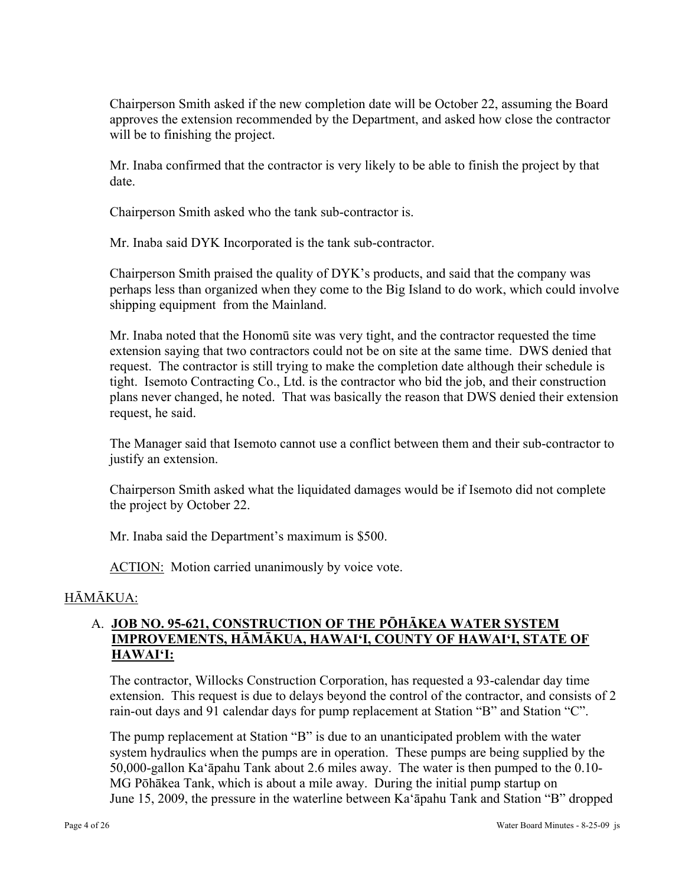Chairperson Smith asked if the new completion date will be October 22, assuming the Board approves the extension recommended by the Department, and asked how close the contractor will be to finishing the project.

Mr. Inaba confirmed that the contractor is very likely to be able to finish the project by that date.

Chairperson Smith asked who the tank sub-contractor is.

Mr. Inaba said DYK Incorporated is the tank sub-contractor.

Chairperson Smith praised the quality of DYK's products, and said that the company was perhaps less than organized when they come to the Big Island to do work, which could involve shipping equipment from the Mainland.

Mr. Inaba noted that the Honomū site was very tight, and the contractor requested the time extension saying that two contractors could not be on site at the same time. DWS denied that request. The contractor is still trying to make the completion date although their schedule is tight. Isemoto Contracting Co., Ltd. is the contractor who bid the job, and their construction plans never changed, he noted. That was basically the reason that DWS denied their extension request, he said.

The Manager said that Isemoto cannot use a conflict between them and their sub-contractor to justify an extension.

Chairperson Smith asked what the liquidated damages would be if Isemoto did not complete the project by October 22.

Mr. Inaba said the Department's maximum is \$500.

ACTION: Motion carried unanimously by voice vote.

### HĀMĀKUA:

# A. **JOB NO. 95-621, CONSTRUCTION OF THE PŌHĀKEA WATER SYSTEM IMPROVEMENTS, HĀMĀKUA, HAWAI'I, COUNTY OF HAWAI'I, STATE OF HAWAI'I:**

The contractor, Willocks Construction Corporation, has requested a 93-calendar day time extension. This request is due to delays beyond the control of the contractor, and consists of 2 rain-out days and 91 calendar days for pump replacement at Station "B" and Station "C".

The pump replacement at Station "B" is due to an unanticipated problem with the water system hydraulics when the pumps are in operation. These pumps are being supplied by the 50,000-gallon Ka'āpahu Tank about 2.6 miles away. The water is then pumped to the 0.10- MG Pōhākea Tank, which is about a mile away. During the initial pump startup on June 15, 2009, the pressure in the waterline between Ka'āpahu Tank and Station "B" dropped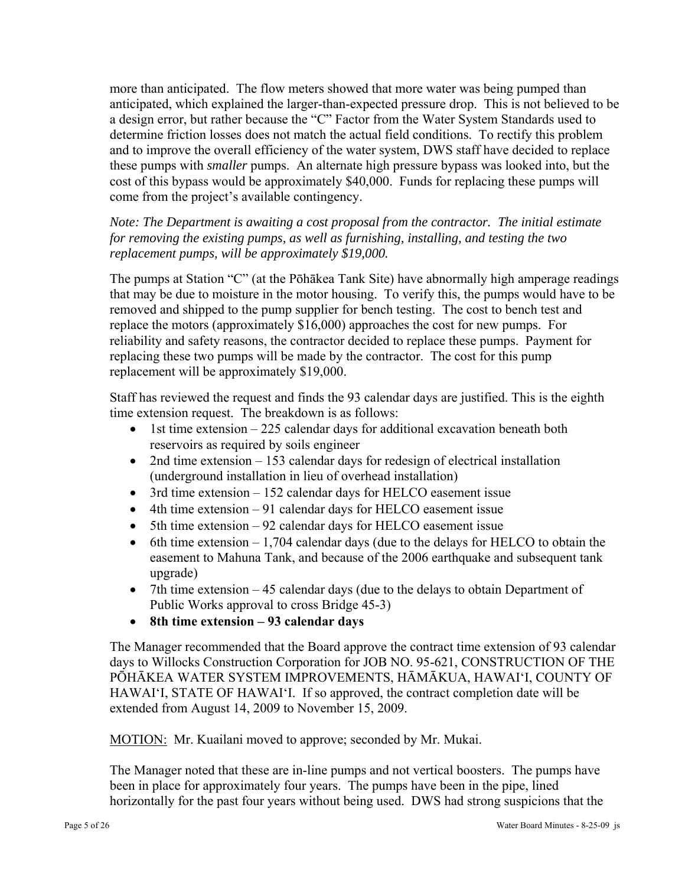more than anticipated. The flow meters showed that more water was being pumped than anticipated, which explained the larger-than-expected pressure drop. This is not believed to be a design error, but rather because the "C" Factor from the Water System Standards used to determine friction losses does not match the actual field conditions. To rectify this problem and to improve the overall efficiency of the water system, DWS staff have decided to replace these pumps with *smaller* pumps. An alternate high pressure bypass was looked into, but the cost of this bypass would be approximately \$40,000. Funds for replacing these pumps will come from the project's available contingency.

*Note: The Department is awaiting a cost proposal from the contractor. The initial estimate for removing the existing pumps, as well as furnishing, installing, and testing the two replacement pumps, will be approximately \$19,000.* 

The pumps at Station "C" (at the Pōhākea Tank Site) have abnormally high amperage readings that may be due to moisture in the motor housing. To verify this, the pumps would have to be removed and shipped to the pump supplier for bench testing. The cost to bench test and replace the motors (approximately \$16,000) approaches the cost for new pumps. For reliability and safety reasons, the contractor decided to replace these pumps. Payment for replacing these two pumps will be made by the contractor. The cost for this pump replacement will be approximately \$19,000.

Staff has reviewed the request and finds the 93 calendar days are justified. This is the eighth time extension request. The breakdown is as follows:

- 1st time extension  $-225$  calendar days for additional excavation beneath both reservoirs as required by soils engineer
- 2nd time extension 153 calendar days for redesign of electrical installation (underground installation in lieu of overhead installation)
- 3rd time extension 152 calendar days for HELCO easement issue
- 4th time extension 91 calendar days for HELCO easement issue
- 5th time extension 92 calendar days for HELCO easement issue
- $\bullet$  6th time extension  $-1,704$  calendar days (due to the delays for HELCO to obtain the easement to Mahuna Tank, and because of the 2006 earthquake and subsequent tank upgrade)
- 7th time extension 45 calendar days (due to the delays to obtain Department of Public Works approval to cross Bridge 45-3)
- **8th time extension 93 calendar days**

The Manager recommended that the Board approve the contract time extension of 93 calendar days to Willocks Construction Corporation for JOB NO. 95-621, CONSTRUCTION OF THE PŌHĀKEA WATER SYSTEM IMPROVEMENTS, HĀMĀKUA, HAWAI'I, COUNTY OF HAWAI'I, STATE OF HAWAI'I. If so approved, the contract completion date will be extended from August 14, 2009 to November 15, 2009.

MOTION: Mr. Kuailani moved to approve; seconded by Mr. Mukai.

The Manager noted that these are in-line pumps and not vertical boosters. The pumps have been in place for approximately four years. The pumps have been in the pipe, lined horizontally for the past four years without being used. DWS had strong suspicions that the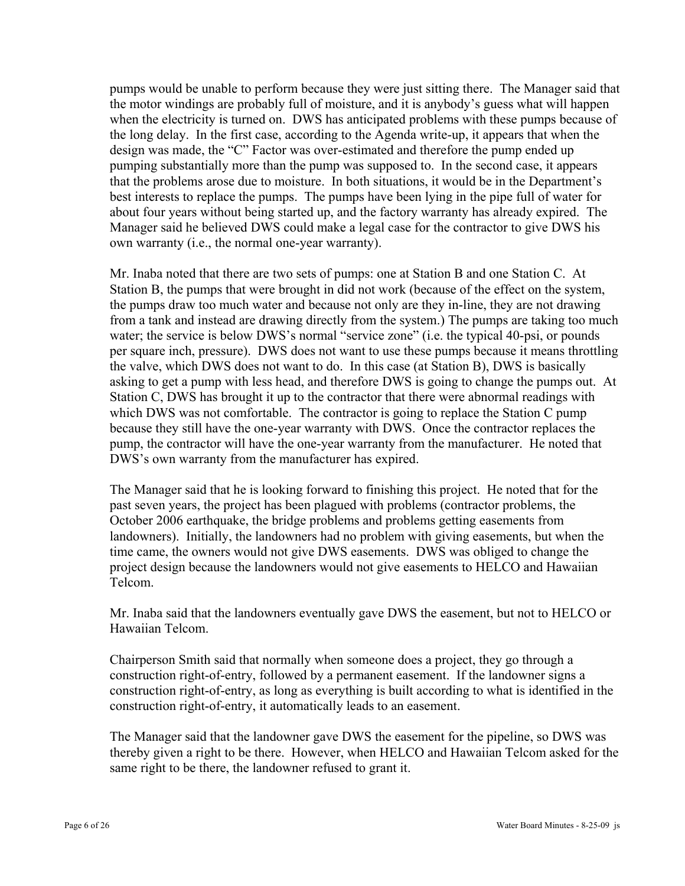pumps would be unable to perform because they were just sitting there. The Manager said that the motor windings are probably full of moisture, and it is anybody's guess what will happen when the electricity is turned on. DWS has anticipated problems with these pumps because of the long delay. In the first case, according to the Agenda write-up, it appears that when the design was made, the "C" Factor was over-estimated and therefore the pump ended up pumping substantially more than the pump was supposed to. In the second case, it appears that the problems arose due to moisture. In both situations, it would be in the Department's best interests to replace the pumps. The pumps have been lying in the pipe full of water for about four years without being started up, and the factory warranty has already expired. The Manager said he believed DWS could make a legal case for the contractor to give DWS his own warranty (i.e., the normal one-year warranty).

Mr. Inaba noted that there are two sets of pumps: one at Station B and one Station C. At Station B, the pumps that were brought in did not work (because of the effect on the system, the pumps draw too much water and because not only are they in-line, they are not drawing from a tank and instead are drawing directly from the system.) The pumps are taking too much water; the service is below DWS's normal "service zone" (i.e. the typical 40-psi, or pounds per square inch, pressure). DWS does not want to use these pumps because it means throttling the valve, which DWS does not want to do. In this case (at Station B), DWS is basically asking to get a pump with less head, and therefore DWS is going to change the pumps out. At Station C, DWS has brought it up to the contractor that there were abnormal readings with which DWS was not comfortable. The contractor is going to replace the Station C pump because they still have the one-year warranty with DWS. Once the contractor replaces the pump, the contractor will have the one-year warranty from the manufacturer. He noted that DWS's own warranty from the manufacturer has expired.

The Manager said that he is looking forward to finishing this project. He noted that for the past seven years, the project has been plagued with problems (contractor problems, the October 2006 earthquake, the bridge problems and problems getting easements from landowners). Initially, the landowners had no problem with giving easements, but when the time came, the owners would not give DWS easements. DWS was obliged to change the project design because the landowners would not give easements to HELCO and Hawaiian Telcom.

Mr. Inaba said that the landowners eventually gave DWS the easement, but not to HELCO or Hawaiian Telcom.

Chairperson Smith said that normally when someone does a project, they go through a construction right-of-entry, followed by a permanent easement. If the landowner signs a construction right-of-entry, as long as everything is built according to what is identified in the construction right-of-entry, it automatically leads to an easement.

The Manager said that the landowner gave DWS the easement for the pipeline, so DWS was thereby given a right to be there. However, when HELCO and Hawaiian Telcom asked for the same right to be there, the landowner refused to grant it.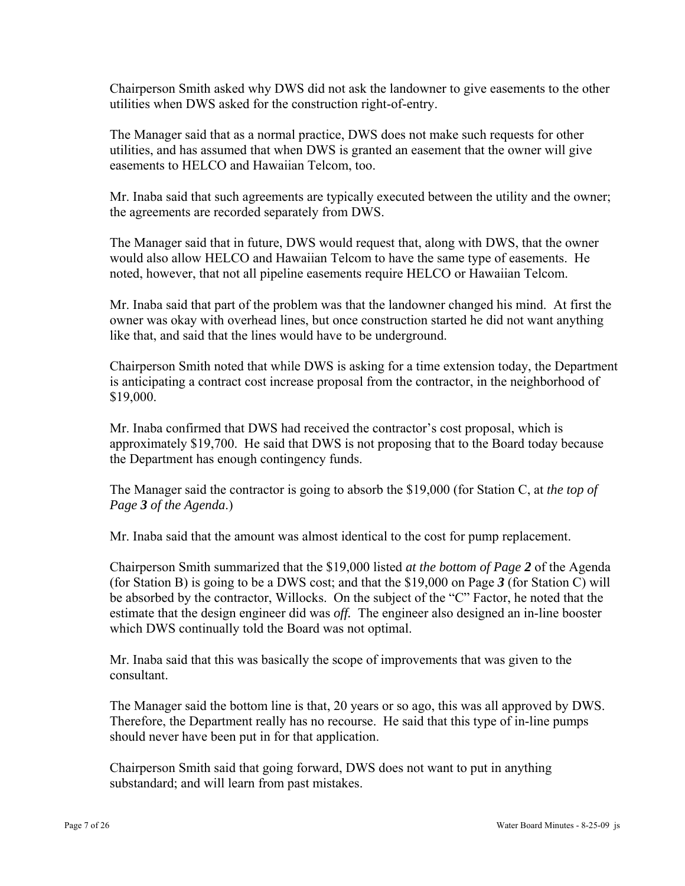Chairperson Smith asked why DWS did not ask the landowner to give easements to the other utilities when DWS asked for the construction right-of-entry.

The Manager said that as a normal practice, DWS does not make such requests for other utilities, and has assumed that when DWS is granted an easement that the owner will give easements to HELCO and Hawaiian Telcom, too.

Mr. Inaba said that such agreements are typically executed between the utility and the owner; the agreements are recorded separately from DWS.

The Manager said that in future, DWS would request that, along with DWS, that the owner would also allow HELCO and Hawaiian Telcom to have the same type of easements. He noted, however, that not all pipeline easements require HELCO or Hawaiian Telcom.

Mr. Inaba said that part of the problem was that the landowner changed his mind. At first the owner was okay with overhead lines, but once construction started he did not want anything like that, and said that the lines would have to be underground.

Chairperson Smith noted that while DWS is asking for a time extension today, the Department is anticipating a contract cost increase proposal from the contractor, in the neighborhood of \$19,000.

Mr. Inaba confirmed that DWS had received the contractor's cost proposal, which is approximately \$19,700. He said that DWS is not proposing that to the Board today because the Department has enough contingency funds.

The Manager said the contractor is going to absorb the \$19,000 (for Station C, at *the top of Page 3 of the Agenda*.)

Mr. Inaba said that the amount was almost identical to the cost for pump replacement.

Chairperson Smith summarized that the \$19,000 listed *at the bottom of Page 2* of the Agenda (for Station B) is going to be a DWS cost; and that the \$19,000 on Page *3* (for Station C) will be absorbed by the contractor, Willocks. On the subject of the "C" Factor, he noted that the estimate that the design engineer did was *off.* The engineer also designed an in-line booster which DWS continually told the Board was not optimal.

Mr. Inaba said that this was basically the scope of improvements that was given to the consultant.

The Manager said the bottom line is that, 20 years or so ago, this was all approved by DWS. Therefore, the Department really has no recourse. He said that this type of in-line pumps should never have been put in for that application.

Chairperson Smith said that going forward, DWS does not want to put in anything substandard; and will learn from past mistakes.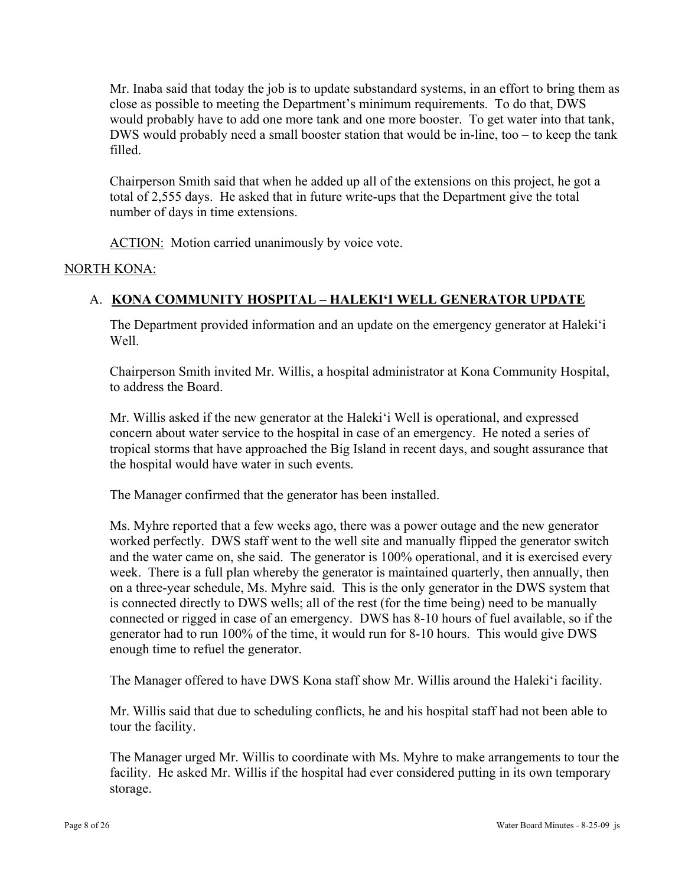Mr. Inaba said that today the job is to update substandard systems, in an effort to bring them as close as possible to meeting the Department's minimum requirements. To do that, DWS would probably have to add one more tank and one more booster. To get water into that tank, DWS would probably need a small booster station that would be in-line, too – to keep the tank filled.

Chairperson Smith said that when he added up all of the extensions on this project, he got a total of 2,555 days. He asked that in future write-ups that the Department give the total number of days in time extensions.

ACTION: Motion carried unanimously by voice vote.

#### NORTH KONA:

### A. **KONA COMMUNITY HOSPITAL – HALEKI'I WELL GENERATOR UPDATE**

The Department provided information and an update on the emergency generator at Haleki'i Well.

Chairperson Smith invited Mr. Willis, a hospital administrator at Kona Community Hospital, to address the Board.

Mr. Willis asked if the new generator at the Haleki'i Well is operational, and expressed concern about water service to the hospital in case of an emergency. He noted a series of tropical storms that have approached the Big Island in recent days, and sought assurance that the hospital would have water in such events.

The Manager confirmed that the generator has been installed.

Ms. Myhre reported that a few weeks ago, there was a power outage and the new generator worked perfectly. DWS staff went to the well site and manually flipped the generator switch and the water came on, she said. The generator is 100% operational, and it is exercised every week. There is a full plan whereby the generator is maintained quarterly, then annually, then on a three-year schedule, Ms. Myhre said. This is the only generator in the DWS system that is connected directly to DWS wells; all of the rest (for the time being) need to be manually connected or rigged in case of an emergency. DWS has 8-10 hours of fuel available, so if the generator had to run 100% of the time, it would run for 8-10 hours. This would give DWS enough time to refuel the generator.

The Manager offered to have DWS Kona staff show Mr. Willis around the Haleki'i facility.

Mr. Willis said that due to scheduling conflicts, he and his hospital staff had not been able to tour the facility.

The Manager urged Mr. Willis to coordinate with Ms. Myhre to make arrangements to tour the facility. He asked Mr. Willis if the hospital had ever considered putting in its own temporary storage.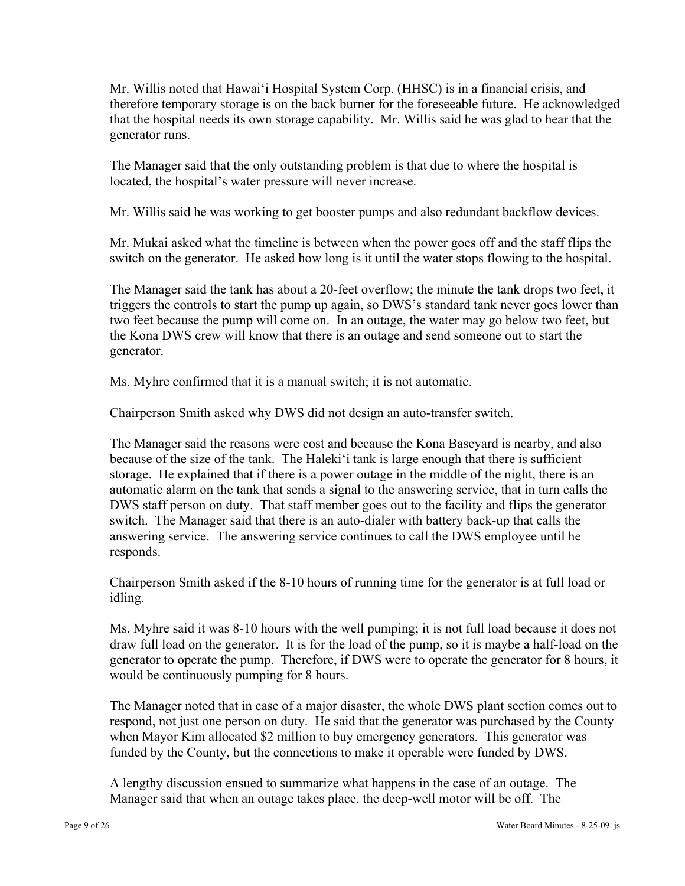Mr. Willis noted that Hawai'i Hospital System Corp. (HHSC) is in a financial crisis, and therefore temporary storage is on the back burner for the foreseeable future. He acknowledged that the hospital needs its own storage capability. Mr. Willis said he was glad to hear that the generator runs.

The Manager said that the only outstanding problem is that due to where the hospital is located, the hospital's water pressure will never increase.

Mr. Willis said he was working to get booster pumps and also redundant backflow devices.

Mr. Mukai asked what the timeline is between when the power goes off and the staff flips the switch on the generator. He asked how long is it until the water stops flowing to the hospital.

The Manager said the tank has about a 20-feet overflow; the minute the tank drops two feet, it triggers the controls to start the pump up again, so DWS's standard tank never goes lower than two feet because the pump will come on. In an outage, the water may go below two feet, but the Kona DWS crew will know that there is an outage and send someone out to start the generator.

Ms. Myhre confirmed that it is a manual switch; it is not automatic.

Chairperson Smith asked why DWS did not design an auto-transfer switch.

The Manager said the reasons were cost and because the Kona Baseyard is nearby, and also because of the size of the tank. The Haleki'i tank is large enough that there is sufficient storage. He explained that if there is a power outage in the middle of the night, there is an automatic alarm on the tank that sends a signal to the answering service, that in turn calls the DWS staff person on duty. That staff member goes out to the facility and flips the generator switch. The Manager said that there is an auto-dialer with battery back-up that calls the answering service. The answering service continues to call the DWS employee until he responds.

Chairperson Smith asked if the 8-10 hours of running time for the generator is at full load or idling.

Ms. Myhre said it was 8-10 hours with the well pumping; it is not full load because it does not draw full load on the generator. It is for the load of the pump, so it is maybe a half-load on the generator to operate the pump. Therefore, if DWS were to operate the generator for 8 hours, it would be continuously pumping for 8 hours.

The Manager noted that in case of a major disaster, the whole DWS plant section comes out to respond, not just one person on duty. He said that the generator was purchased by the County when Mayor Kim allocated \$2 million to buy emergency generators. This generator was funded by the County, but the connections to make it operable were funded by DWS.

A lengthy discussion ensued to summarize what happens in the case of an outage. The Manager said that when an outage takes place, the deep-well motor will be off. The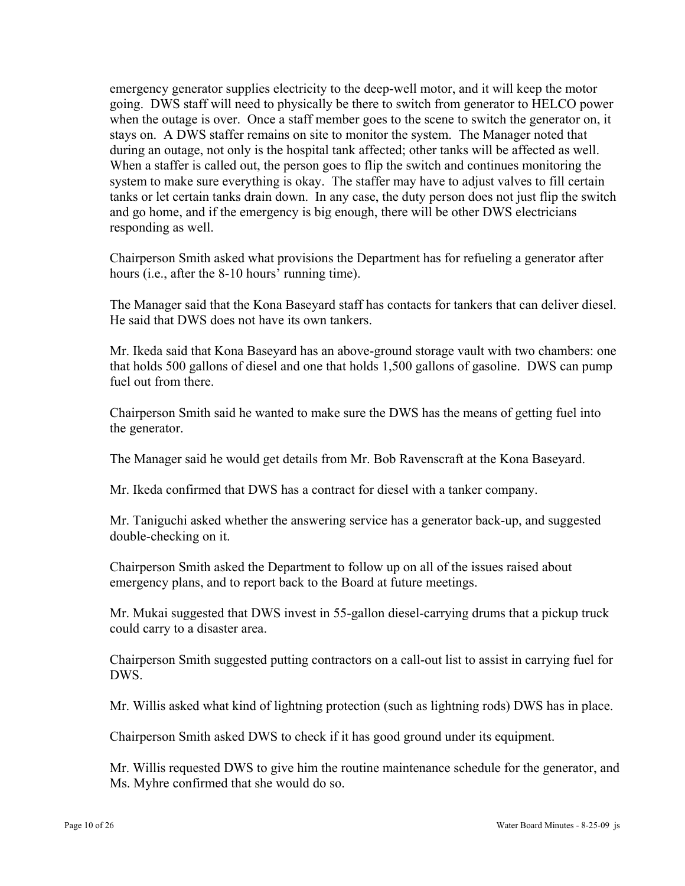emergency generator supplies electricity to the deep-well motor, and it will keep the motor going. DWS staff will need to physically be there to switch from generator to HELCO power when the outage is over. Once a staff member goes to the scene to switch the generator on, it stays on. A DWS staffer remains on site to monitor the system. The Manager noted that during an outage, not only is the hospital tank affected; other tanks will be affected as well. When a staffer is called out, the person goes to flip the switch and continues monitoring the system to make sure everything is okay. The staffer may have to adjust valves to fill certain tanks or let certain tanks drain down. In any case, the duty person does not just flip the switch and go home, and if the emergency is big enough, there will be other DWS electricians responding as well.

Chairperson Smith asked what provisions the Department has for refueling a generator after hours (i.e., after the 8-10 hours' running time).

The Manager said that the Kona Baseyard staff has contacts for tankers that can deliver diesel. He said that DWS does not have its own tankers.

Mr. Ikeda said that Kona Baseyard has an above-ground storage vault with two chambers: one that holds 500 gallons of diesel and one that holds 1,500 gallons of gasoline. DWS can pump fuel out from there.

Chairperson Smith said he wanted to make sure the DWS has the means of getting fuel into the generator.

The Manager said he would get details from Mr. Bob Ravenscraft at the Kona Baseyard.

Mr. Ikeda confirmed that DWS has a contract for diesel with a tanker company.

Mr. Taniguchi asked whether the answering service has a generator back-up, and suggested double-checking on it.

Chairperson Smith asked the Department to follow up on all of the issues raised about emergency plans, and to report back to the Board at future meetings.

Mr. Mukai suggested that DWS invest in 55-gallon diesel-carrying drums that a pickup truck could carry to a disaster area.

Chairperson Smith suggested putting contractors on a call-out list to assist in carrying fuel for DWS.

Mr. Willis asked what kind of lightning protection (such as lightning rods) DWS has in place.

Chairperson Smith asked DWS to check if it has good ground under its equipment.

Mr. Willis requested DWS to give him the routine maintenance schedule for the generator, and Ms. Myhre confirmed that she would do so.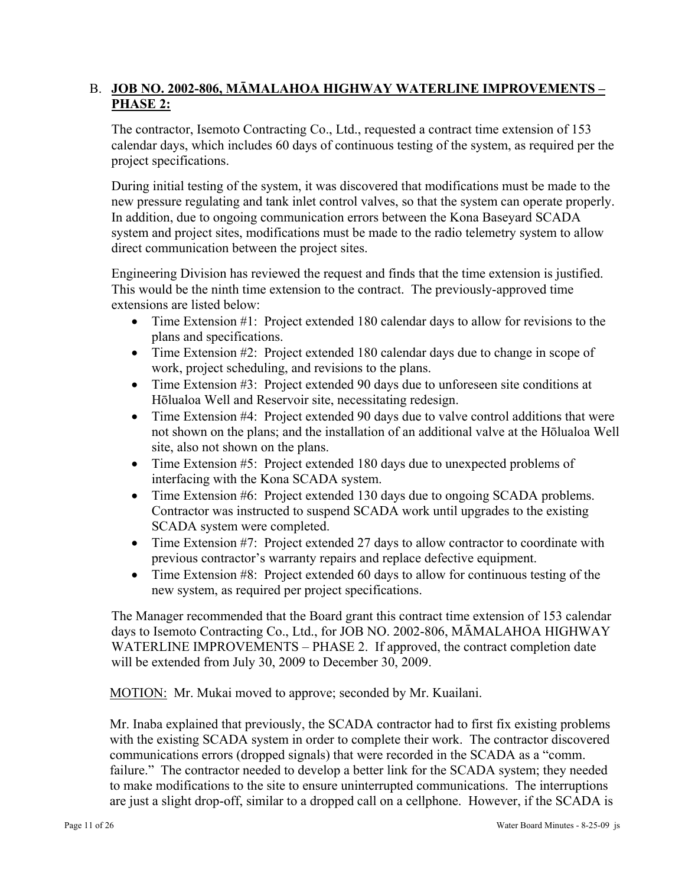# B. **JOB NO. 2002-806, MĀMALAHOA HIGHWAY WATERLINE IMPROVEMENTS – PHASE 2:**

The contractor, Isemoto Contracting Co., Ltd., requested a contract time extension of 153 calendar days, which includes 60 days of continuous testing of the system, as required per the project specifications.

During initial testing of the system, it was discovered that modifications must be made to the new pressure regulating and tank inlet control valves, so that the system can operate properly. In addition, due to ongoing communication errors between the Kona Baseyard SCADA system and project sites, modifications must be made to the radio telemetry system to allow direct communication between the project sites.

Engineering Division has reviewed the request and finds that the time extension is justified. This would be the ninth time extension to the contract. The previously-approved time extensions are listed below:

- Time Extension #1: Project extended 180 calendar days to allow for revisions to the plans and specifications.
- Time Extension #2: Project extended 180 calendar days due to change in scope of work, project scheduling, and revisions to the plans.
- Time Extension #3: Project extended 90 days due to unforeseen site conditions at Hōlualoa Well and Reservoir site, necessitating redesign.
- Time Extension #4: Project extended 90 days due to valve control additions that were not shown on the plans; and the installation of an additional valve at the Hōlualoa Well site, also not shown on the plans.
- Time Extension #5: Project extended 180 days due to unexpected problems of interfacing with the Kona SCADA system.
- Time Extension #6: Project extended 130 days due to ongoing SCADA problems. Contractor was instructed to suspend SCADA work until upgrades to the existing SCADA system were completed.
- Time Extension #7: Project extended 27 days to allow contractor to coordinate with previous contractor's warranty repairs and replace defective equipment.
- Time Extension #8: Project extended 60 days to allow for continuous testing of the new system, as required per project specifications.

The Manager recommended that the Board grant this contract time extension of 153 calendar days to Isemoto Contracting Co., Ltd., for JOB NO. 2002-806, MĀMALAHOA HIGHWAY WATERLINE IMPROVEMENTS – PHASE 2. If approved, the contract completion date will be extended from July 30, 2009 to December 30, 2009.

MOTION: Mr. Mukai moved to approve; seconded by Mr. Kuailani.

Mr. Inaba explained that previously, the SCADA contractor had to first fix existing problems with the existing SCADA system in order to complete their work. The contractor discovered communications errors (dropped signals) that were recorded in the SCADA as a "comm. failure." The contractor needed to develop a better link for the SCADA system; they needed to make modifications to the site to ensure uninterrupted communications. The interruptions are just a slight drop-off, similar to a dropped call on a cellphone. However, if the SCADA is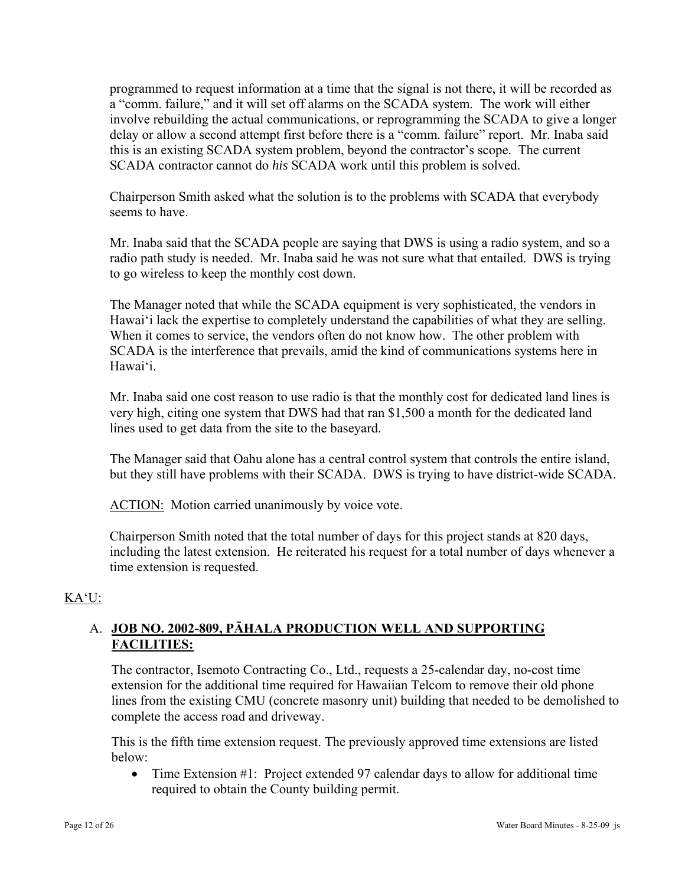programmed to request information at a time that the signal is not there, it will be recorded as a "comm. failure," and it will set off alarms on the SCADA system. The work will either involve rebuilding the actual communications, or reprogramming the SCADA to give a longer delay or allow a second attempt first before there is a "comm. failure" report. Mr. Inaba said this is an existing SCADA system problem, beyond the contractor's scope. The current SCADA contractor cannot do *his* SCADA work until this problem is solved.

Chairperson Smith asked what the solution is to the problems with SCADA that everybody seems to have.

Mr. Inaba said that the SCADA people are saying that DWS is using a radio system, and so a radio path study is needed. Mr. Inaba said he was not sure what that entailed. DWS is trying to go wireless to keep the monthly cost down.

The Manager noted that while the SCADA equipment is very sophisticated, the vendors in Hawai'i lack the expertise to completely understand the capabilities of what they are selling. When it comes to service, the vendors often do not know how. The other problem with SCADA is the interference that prevails, amid the kind of communications systems here in Hawai'i.

Mr. Inaba said one cost reason to use radio is that the monthly cost for dedicated land lines is very high, citing one system that DWS had that ran \$1,500 a month for the dedicated land lines used to get data from the site to the baseyard.

The Manager said that Oahu alone has a central control system that controls the entire island, but they still have problems with their SCADA. DWS is trying to have district-wide SCADA.

ACTION: Motion carried unanimously by voice vote.

Chairperson Smith noted that the total number of days for this project stands at 820 days, including the latest extension. He reiterated his request for a total number of days whenever a time extension is requested.

# KA'U:

# A. **JOB NO. 2002-809, PĀHALA PRODUCTION WELL AND SUPPORTING FACILITIES:**

The contractor, Isemoto Contracting Co., Ltd., requests a 25-calendar day, no-cost time extension for the additional time required for Hawaiian Telcom to remove their old phone lines from the existing CMU (concrete masonry unit) building that needed to be demolished to complete the access road and driveway.

This is the fifth time extension request. The previously approved time extensions are listed below:

• Time Extension #1: Project extended 97 calendar days to allow for additional time required to obtain the County building permit.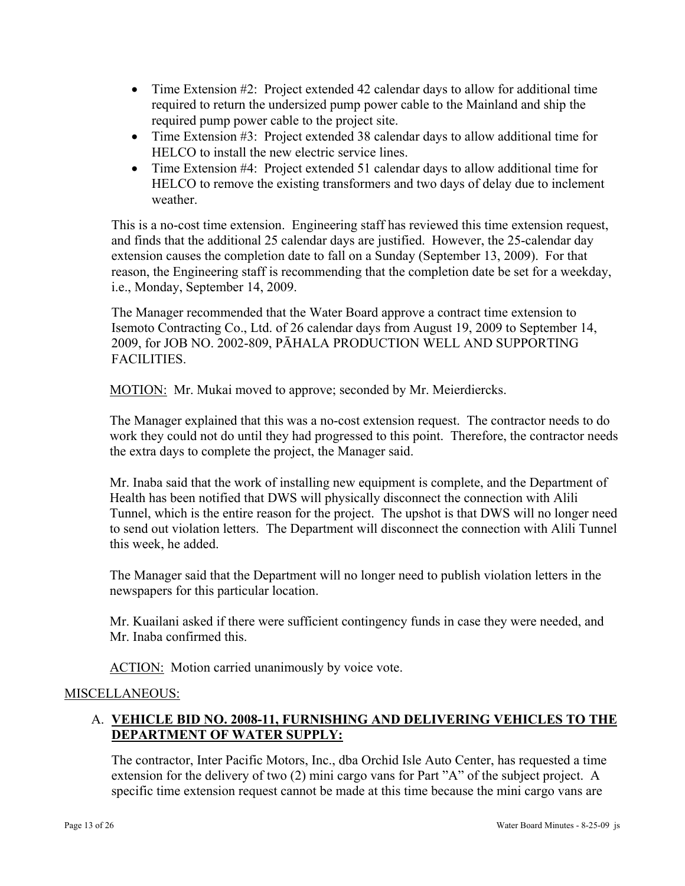- Time Extension #2: Project extended 42 calendar days to allow for additional time required to return the undersized pump power cable to the Mainland and ship the required pump power cable to the project site.
- Time Extension #3: Project extended 38 calendar days to allow additional time for HELCO to install the new electric service lines.
- Time Extension #4: Project extended 51 calendar days to allow additional time for HELCO to remove the existing transformers and two days of delay due to inclement weather.

This is a no-cost time extension. Engineering staff has reviewed this time extension request, and finds that the additional 25 calendar days are justified. However, the 25-calendar day extension causes the completion date to fall on a Sunday (September 13, 2009). For that reason, the Engineering staff is recommending that the completion date be set for a weekday, i.e., Monday, September 14, 2009.

The Manager recommended that the Water Board approve a contract time extension to Isemoto Contracting Co., Ltd. of 26 calendar days from August 19, 2009 to September 14, 2009, for JOB NO. 2002-809, PĀHALA PRODUCTION WELL AND SUPPORTING **FACILITIES** 

MOTION: Mr. Mukai moved to approve; seconded by Mr. Meierdiercks.

The Manager explained that this was a no-cost extension request. The contractor needs to do work they could not do until they had progressed to this point. Therefore, the contractor needs the extra days to complete the project, the Manager said.

Mr. Inaba said that the work of installing new equipment is complete, and the Department of Health has been notified that DWS will physically disconnect the connection with Alili Tunnel, which is the entire reason for the project. The upshot is that DWS will no longer need to send out violation letters. The Department will disconnect the connection with Alili Tunnel this week, he added.

The Manager said that the Department will no longer need to publish violation letters in the newspapers for this particular location.

Mr. Kuailani asked if there were sufficient contingency funds in case they were needed, and Mr. Inaba confirmed this.

ACTION: Motion carried unanimously by voice vote.

### MISCELLANEOUS:

# A. **VEHICLE BID NO. 2008-11, FURNISHING AND DELIVERING VEHICLES TO THE DEPARTMENT OF WATER SUPPLY:**

The contractor, Inter Pacific Motors, Inc., dba Orchid Isle Auto Center, has requested a time extension for the delivery of two (2) mini cargo vans for Part "A" of the subject project. A specific time extension request cannot be made at this time because the mini cargo vans are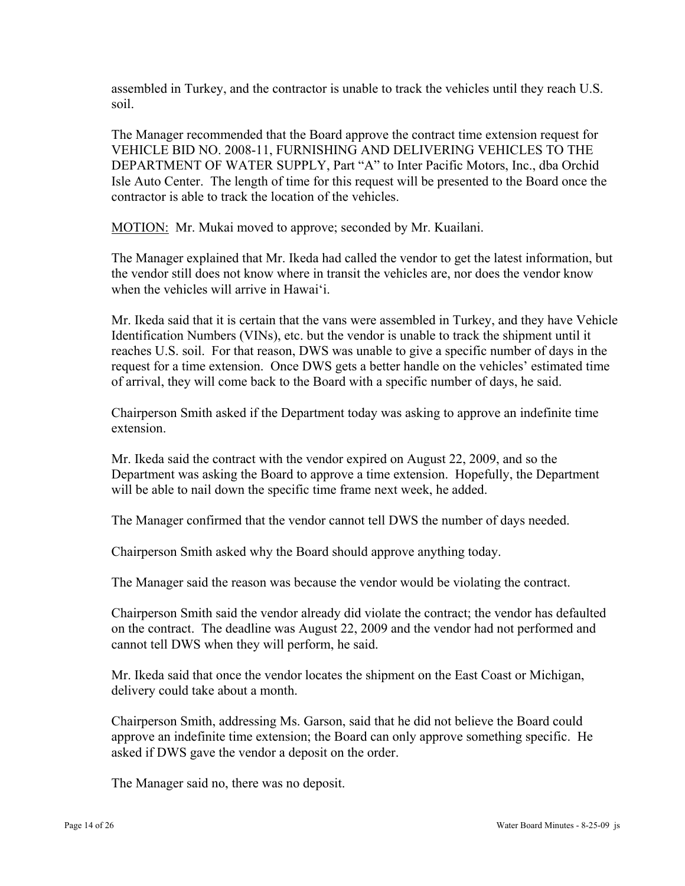assembled in Turkey, and the contractor is unable to track the vehicles until they reach U.S. soil.

The Manager recommended that the Board approve the contract time extension request for VEHICLE BID NO. 2008-11, FURNISHING AND DELIVERING VEHICLES TO THE DEPARTMENT OF WATER SUPPLY, Part "A" to Inter Pacific Motors, Inc., dba Orchid Isle Auto Center. The length of time for this request will be presented to the Board once the contractor is able to track the location of the vehicles.

MOTION: Mr. Mukai moved to approve; seconded by Mr. Kuailani.

The Manager explained that Mr. Ikeda had called the vendor to get the latest information, but the vendor still does not know where in transit the vehicles are, nor does the vendor know when the vehicles will arrive in Hawai'i.

Mr. Ikeda said that it is certain that the vans were assembled in Turkey, and they have Vehicle Identification Numbers (VINs), etc. but the vendor is unable to track the shipment until it reaches U.S. soil. For that reason, DWS was unable to give a specific number of days in the request for a time extension. Once DWS gets a better handle on the vehicles' estimated time of arrival, they will come back to the Board with a specific number of days, he said.

Chairperson Smith asked if the Department today was asking to approve an indefinite time extension.

Mr. Ikeda said the contract with the vendor expired on August 22, 2009, and so the Department was asking the Board to approve a time extension. Hopefully, the Department will be able to nail down the specific time frame next week, he added.

The Manager confirmed that the vendor cannot tell DWS the number of days needed.

Chairperson Smith asked why the Board should approve anything today.

The Manager said the reason was because the vendor would be violating the contract.

Chairperson Smith said the vendor already did violate the contract; the vendor has defaulted on the contract. The deadline was August 22, 2009 and the vendor had not performed and cannot tell DWS when they will perform, he said.

Mr. Ikeda said that once the vendor locates the shipment on the East Coast or Michigan, delivery could take about a month.

Chairperson Smith, addressing Ms. Garson, said that he did not believe the Board could approve an indefinite time extension; the Board can only approve something specific. He asked if DWS gave the vendor a deposit on the order.

The Manager said no, there was no deposit.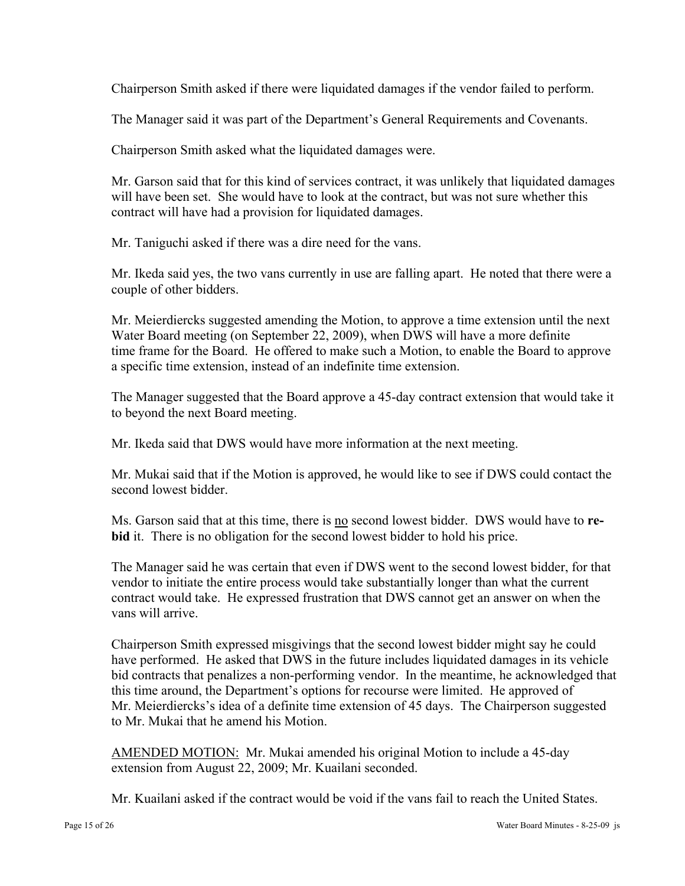Chairperson Smith asked if there were liquidated damages if the vendor failed to perform.

The Manager said it was part of the Department's General Requirements and Covenants.

Chairperson Smith asked what the liquidated damages were.

Mr. Garson said that for this kind of services contract, it was unlikely that liquidated damages will have been set. She would have to look at the contract, but was not sure whether this contract will have had a provision for liquidated damages.

Mr. Taniguchi asked if there was a dire need for the vans.

Mr. Ikeda said yes, the two vans currently in use are falling apart. He noted that there were a couple of other bidders.

Mr. Meierdiercks suggested amending the Motion, to approve a time extension until the next Water Board meeting (on September 22, 2009), when DWS will have a more definite time frame for the Board. He offered to make such a Motion, to enable the Board to approve a specific time extension, instead of an indefinite time extension.

The Manager suggested that the Board approve a 45-day contract extension that would take it to beyond the next Board meeting.

Mr. Ikeda said that DWS would have more information at the next meeting.

Mr. Mukai said that if the Motion is approved, he would like to see if DWS could contact the second lowest bidder.

Ms. Garson said that at this time, there is no second lowest bidder. DWS would have to **rebid** it. There is no obligation for the second lowest bidder to hold his price.

The Manager said he was certain that even if DWS went to the second lowest bidder, for that vendor to initiate the entire process would take substantially longer than what the current contract would take. He expressed frustration that DWS cannot get an answer on when the vans will arrive.

Chairperson Smith expressed misgivings that the second lowest bidder might say he could have performed. He asked that DWS in the future includes liquidated damages in its vehicle bid contracts that penalizes a non-performing vendor. In the meantime, he acknowledged that this time around, the Department's options for recourse were limited. He approved of Mr. Meierdiercks's idea of a definite time extension of 45 days. The Chairperson suggested to Mr. Mukai that he amend his Motion.

AMENDED MOTION: Mr. Mukai amended his original Motion to include a 45-day extension from August 22, 2009; Mr. Kuailani seconded.

Mr. Kuailani asked if the contract would be void if the vans fail to reach the United States.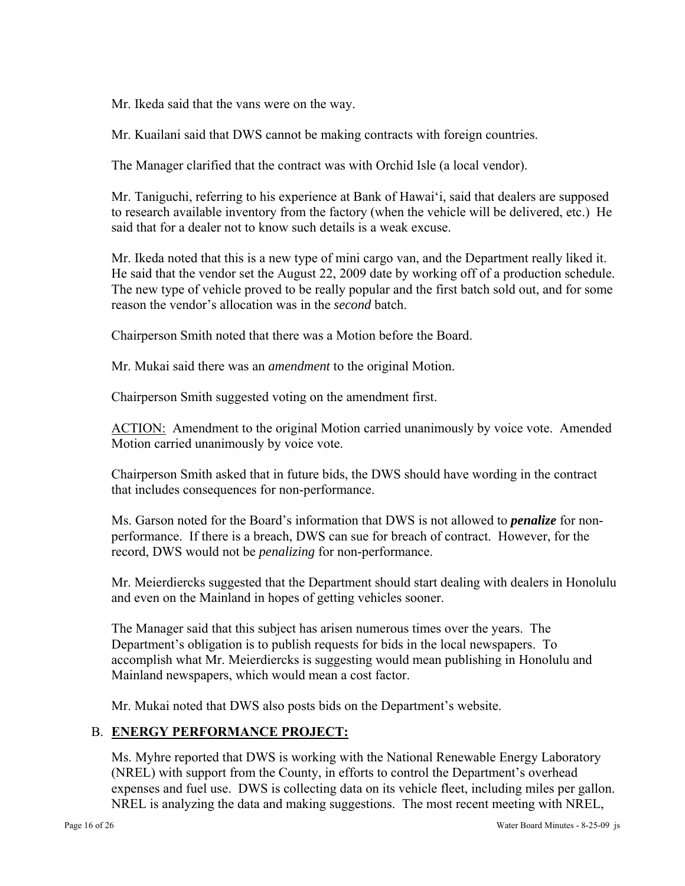Mr. Ikeda said that the vans were on the way.

Mr. Kuailani said that DWS cannot be making contracts with foreign countries.

The Manager clarified that the contract was with Orchid Isle (a local vendor).

Mr. Taniguchi, referring to his experience at Bank of Hawai'i, said that dealers are supposed to research available inventory from the factory (when the vehicle will be delivered, etc.) He said that for a dealer not to know such details is a weak excuse.

Mr. Ikeda noted that this is a new type of mini cargo van, and the Department really liked it. He said that the vendor set the August 22, 2009 date by working off of a production schedule. The new type of vehicle proved to be really popular and the first batch sold out, and for some reason the vendor's allocation was in the *second* batch.

Chairperson Smith noted that there was a Motion before the Board.

Mr. Mukai said there was an *amendment* to the original Motion.

Chairperson Smith suggested voting on the amendment first.

**ACTION:** Amendment to the original Motion carried unanimously by voice vote. Amended Motion carried unanimously by voice vote.

Chairperson Smith asked that in future bids, the DWS should have wording in the contract that includes consequences for non-performance.

Ms. Garson noted for the Board's information that DWS is not allowed to *penalize* for nonperformance. If there is a breach, DWS can sue for breach of contract. However, for the record, DWS would not be *penalizing* for non-performance.

Mr. Meierdiercks suggested that the Department should start dealing with dealers in Honolulu and even on the Mainland in hopes of getting vehicles sooner.

The Manager said that this subject has arisen numerous times over the years. The Department's obligation is to publish requests for bids in the local newspapers. To accomplish what Mr. Meierdiercks is suggesting would mean publishing in Honolulu and Mainland newspapers, which would mean a cost factor.

Mr. Mukai noted that DWS also posts bids on the Department's website.

### B. **ENERGY PERFORMANCE PROJECT:**

Ms. Myhre reported that DWS is working with the National Renewable Energy Laboratory (NREL) with support from the County, in efforts to control the Department's overhead expenses and fuel use. DWS is collecting data on its vehicle fleet, including miles per gallon. NREL is analyzing the data and making suggestions. The most recent meeting with NREL,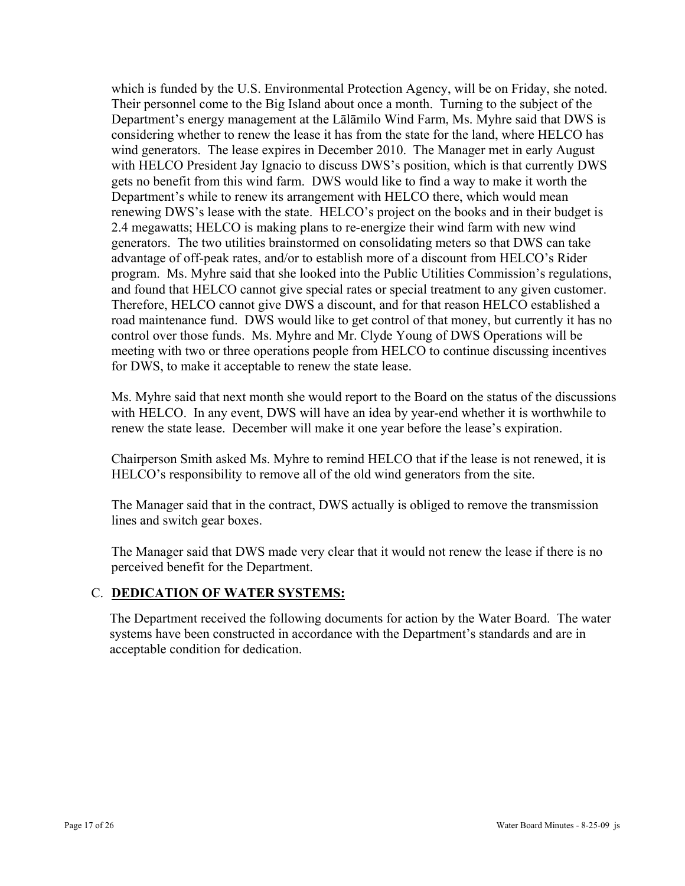which is funded by the U.S. Environmental Protection Agency, will be on Friday, she noted. Their personnel come to the Big Island about once a month. Turning to the subject of the Department's energy management at the Lālāmilo Wind Farm, Ms. Myhre said that DWS is considering whether to renew the lease it has from the state for the land, where HELCO has wind generators. The lease expires in December 2010. The Manager met in early August with HELCO President Jay Ignacio to discuss DWS's position, which is that currently DWS gets no benefit from this wind farm. DWS would like to find a way to make it worth the Department's while to renew its arrangement with HELCO there, which would mean renewing DWS's lease with the state. HELCO's project on the books and in their budget is 2.4 megawatts; HELCO is making plans to re-energize their wind farm with new wind generators. The two utilities brainstormed on consolidating meters so that DWS can take advantage of off-peak rates, and/or to establish more of a discount from HELCO's Rider program. Ms. Myhre said that she looked into the Public Utilities Commission's regulations, and found that HELCO cannot give special rates or special treatment to any given customer. Therefore, HELCO cannot give DWS a discount, and for that reason HELCO established a road maintenance fund. DWS would like to get control of that money, but currently it has no control over those funds. Ms. Myhre and Mr. Clyde Young of DWS Operations will be meeting with two or three operations people from HELCO to continue discussing incentives for DWS, to make it acceptable to renew the state lease.

Ms. Myhre said that next month she would report to the Board on the status of the discussions with HELCO. In any event, DWS will have an idea by year-end whether it is worthwhile to renew the state lease. December will make it one year before the lease's expiration.

Chairperson Smith asked Ms. Myhre to remind HELCO that if the lease is not renewed, it is HELCO's responsibility to remove all of the old wind generators from the site.

The Manager said that in the contract, DWS actually is obliged to remove the transmission lines and switch gear boxes.

The Manager said that DWS made very clear that it would not renew the lease if there is no perceived benefit for the Department.

### C. **DEDICATION OF WATER SYSTEMS:**

The Department received the following documents for action by the Water Board. The water systems have been constructed in accordance with the Department's standards and are in acceptable condition for dedication.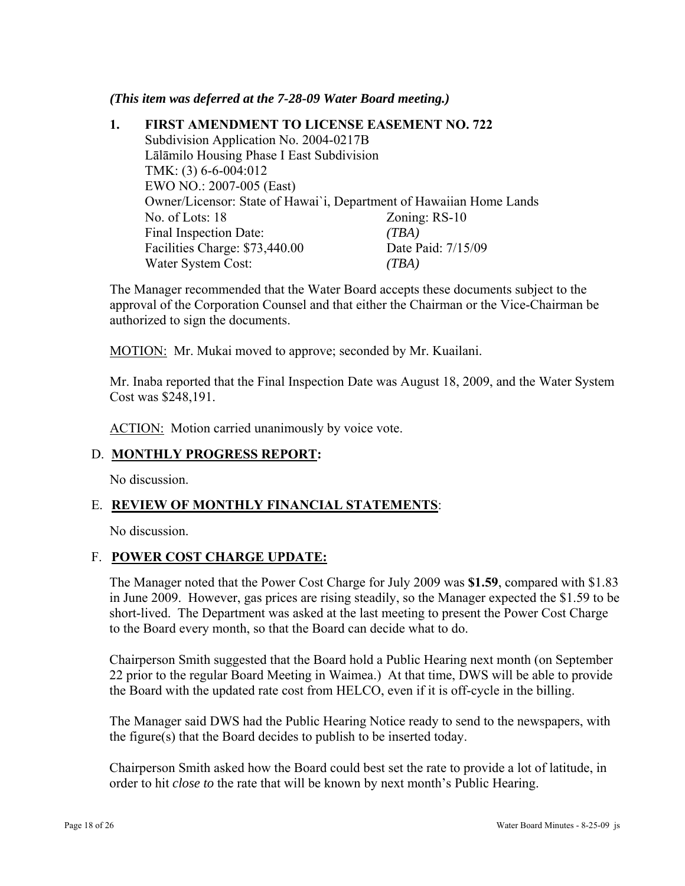#### *(This item was deferred at the 7-28-09 Water Board meeting.)*

**1. FIRST AMENDMENT TO LICENSE EASEMENT NO. 722**  Subdivision Application No. 2004-0217B Lālāmilo Housing Phase I East Subdivision TMK: (3) 6-6-004:012 EWO NO.: 2007-005 (East) Owner/Licensor: State of Hawai`i, Department of Hawaiian Home Lands No. of Lots: 18 Zoning: RS-10 Final Inspection Date: *(TBA)*  Facilities Charge: \$73,440.00 Date Paid: 7/15/09 Water System Cost: *(TBA)*

The Manager recommended that the Water Board accepts these documents subject to the approval of the Corporation Counsel and that either the Chairman or the Vice-Chairman be authorized to sign the documents.

MOTION: Mr. Mukai moved to approve; seconded by Mr. Kuailani.

Mr. Inaba reported that the Final Inspection Date was August 18, 2009, and the Water System Cost was \$248,191.

**ACTION:** Motion carried unanimously by voice vote.

### D. **MONTHLY PROGRESS REPORT:**

No discussion.

### E. **REVIEW OF MONTHLY FINANCIAL STATEMENTS**:

No discussion.

#### F. **POWER COST CHARGE UPDATE:**

The Manager noted that the Power Cost Charge for July 2009 was **\$1.59**, compared with \$1.83 in June 2009. However, gas prices are rising steadily, so the Manager expected the \$1.59 to be short-lived. The Department was asked at the last meeting to present the Power Cost Charge to the Board every month, so that the Board can decide what to do.

Chairperson Smith suggested that the Board hold a Public Hearing next month (on September 22 prior to the regular Board Meeting in Waimea.) At that time, DWS will be able to provide the Board with the updated rate cost from HELCO, even if it is off-cycle in the billing.

The Manager said DWS had the Public Hearing Notice ready to send to the newspapers, with the figure(s) that the Board decides to publish to be inserted today.

Chairperson Smith asked how the Board could best set the rate to provide a lot of latitude, in order to hit *close to* the rate that will be known by next month's Public Hearing.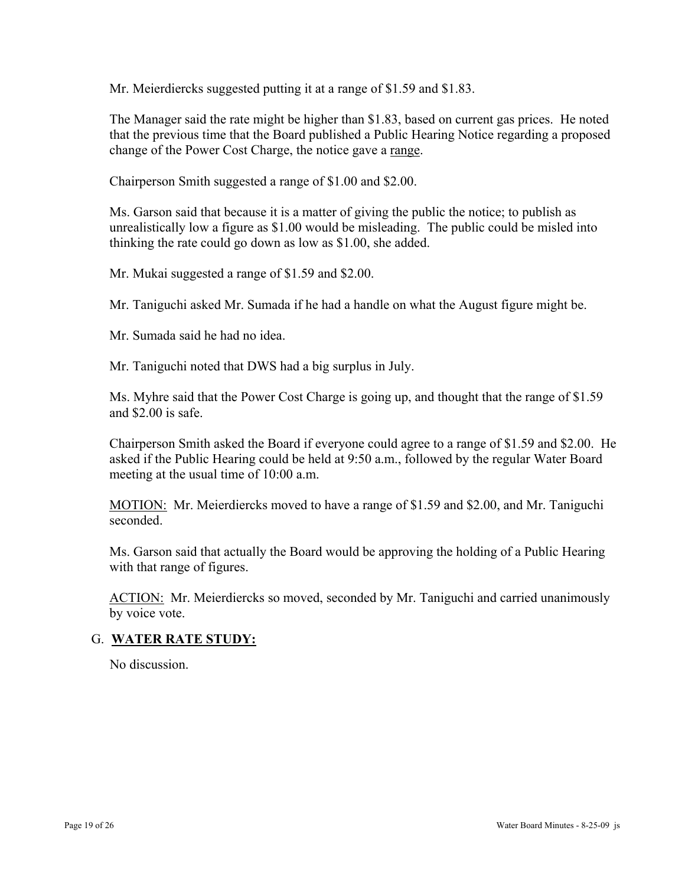Mr. Meierdiercks suggested putting it at a range of \$1.59 and \$1.83.

The Manager said the rate might be higher than \$1.83, based on current gas prices. He noted that the previous time that the Board published a Public Hearing Notice regarding a proposed change of the Power Cost Charge, the notice gave a range.

Chairperson Smith suggested a range of \$1.00 and \$2.00.

Ms. Garson said that because it is a matter of giving the public the notice; to publish as unrealistically low a figure as \$1.00 would be misleading. The public could be misled into thinking the rate could go down as low as \$1.00, she added.

Mr. Mukai suggested a range of \$1.59 and \$2.00.

Mr. Taniguchi asked Mr. Sumada if he had a handle on what the August figure might be.

Mr. Sumada said he had no idea.

Mr. Taniguchi noted that DWS had a big surplus in July.

Ms. Myhre said that the Power Cost Charge is going up, and thought that the range of \$1.59 and \$2.00 is safe.

Chairperson Smith asked the Board if everyone could agree to a range of \$1.59 and \$2.00. He asked if the Public Hearing could be held at 9:50 a.m., followed by the regular Water Board meeting at the usual time of 10:00 a.m.

MOTION: Mr. Meierdiercks moved to have a range of \$1.59 and \$2.00, and Mr. Taniguchi seconded.

Ms. Garson said that actually the Board would be approving the holding of a Public Hearing with that range of figures.

ACTION: Mr. Meierdiercks so moved, seconded by Mr. Taniguchi and carried unanimously by voice vote.

#### G. **WATER RATE STUDY:**

No discussion.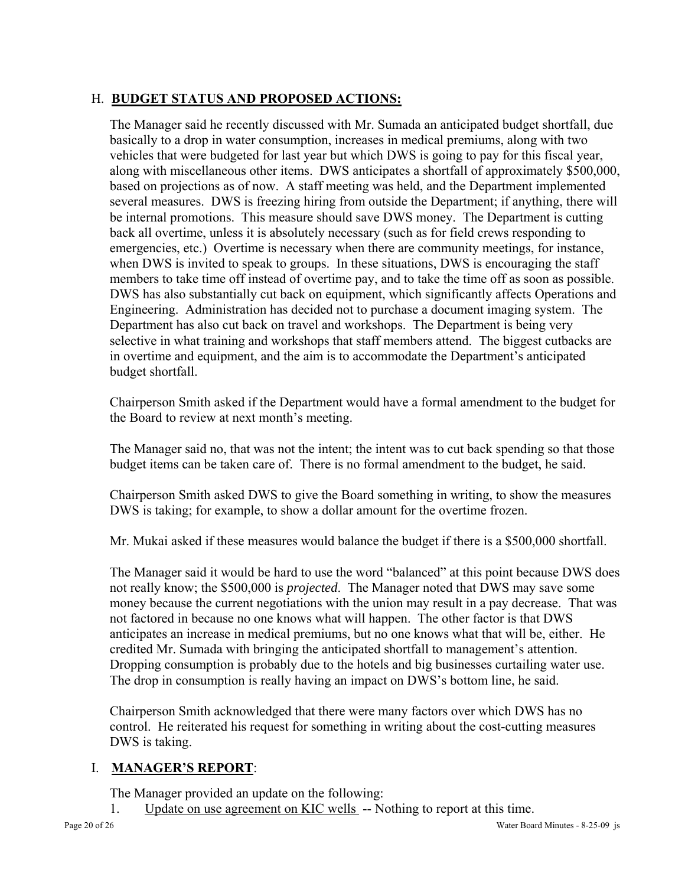# H. **BUDGET STATUS AND PROPOSED ACTIONS:**

The Manager said he recently discussed with Mr. Sumada an anticipated budget shortfall, due basically to a drop in water consumption, increases in medical premiums, along with two vehicles that were budgeted for last year but which DWS is going to pay for this fiscal year, along with miscellaneous other items. DWS anticipates a shortfall of approximately \$500,000, based on projections as of now. A staff meeting was held, and the Department implemented several measures. DWS is freezing hiring from outside the Department; if anything, there will be internal promotions. This measure should save DWS money. The Department is cutting back all overtime, unless it is absolutely necessary (such as for field crews responding to emergencies, etc.) Overtime is necessary when there are community meetings, for instance, when DWS is invited to speak to groups. In these situations, DWS is encouraging the staff members to take time off instead of overtime pay, and to take the time off as soon as possible. DWS has also substantially cut back on equipment, which significantly affects Operations and Engineering. Administration has decided not to purchase a document imaging system. The Department has also cut back on travel and workshops. The Department is being very selective in what training and workshops that staff members attend. The biggest cutbacks are in overtime and equipment, and the aim is to accommodate the Department's anticipated budget shortfall.

Chairperson Smith asked if the Department would have a formal amendment to the budget for the Board to review at next month's meeting.

The Manager said no, that was not the intent; the intent was to cut back spending so that those budget items can be taken care of. There is no formal amendment to the budget, he said.

Chairperson Smith asked DWS to give the Board something in writing, to show the measures DWS is taking; for example, to show a dollar amount for the overtime frozen.

Mr. Mukai asked if these measures would balance the budget if there is a \$500,000 shortfall.

The Manager said it would be hard to use the word "balanced" at this point because DWS does not really know; the \$500,000 is *projected*. The Manager noted that DWS may save some money because the current negotiations with the union may result in a pay decrease. That was not factored in because no one knows what will happen. The other factor is that DWS anticipates an increase in medical premiums, but no one knows what that will be, either. He credited Mr. Sumada with bringing the anticipated shortfall to management's attention. Dropping consumption is probably due to the hotels and big businesses curtailing water use. The drop in consumption is really having an impact on DWS's bottom line, he said.

Chairperson Smith acknowledged that there were many factors over which DWS has no control. He reiterated his request for something in writing about the cost-cutting measures DWS is taking.

# I. **MANAGER'S REPORT**:

The Manager provided an update on the following:

1. Update on use agreement on KIC wells -- Nothing to report at this time.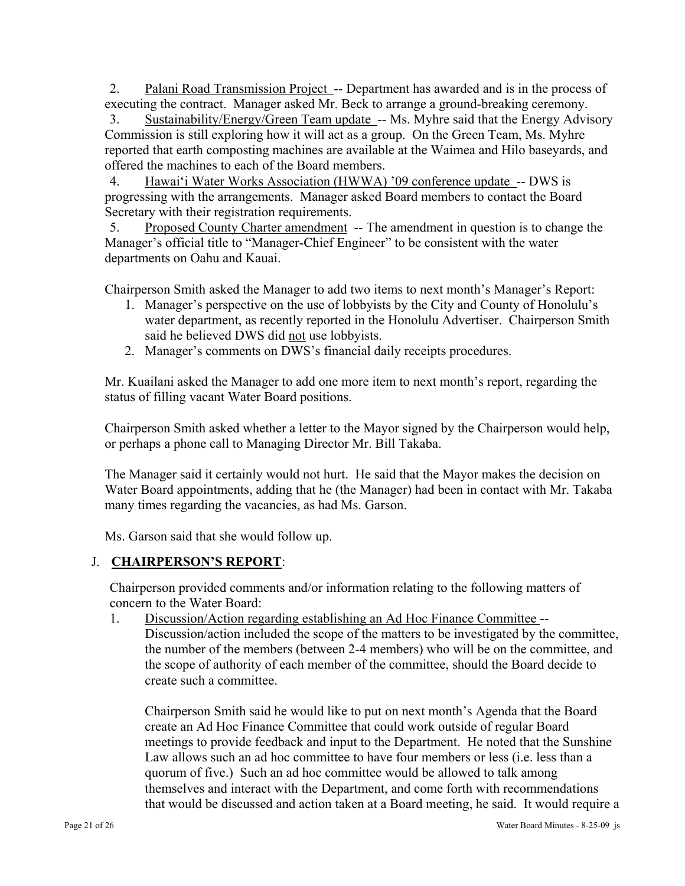2. Palani Road Transmission Project -- Department has awarded and is in the process of executing the contract. Manager asked Mr. Beck to arrange a ground-breaking ceremony.

3. Sustainability/Energy/Green Team update -- Ms. Myhre said that the Energy Advisory Commission is still exploring how it will act as a group. On the Green Team, Ms. Myhre reported that earth composting machines are available at the Waimea and Hilo baseyards, and offered the machines to each of the Board members.

4. Hawai'i Water Works Association (HWWA) '09 conference update -- DWS is progressing with the arrangements. Manager asked Board members to contact the Board Secretary with their registration requirements.

5. Proposed County Charter amendment -- The amendment in question is to change the Manager's official title to "Manager-Chief Engineer" to be consistent with the water departments on Oahu and Kauai.

Chairperson Smith asked the Manager to add two items to next month's Manager's Report:

- 1. Manager's perspective on the use of lobbyists by the City and County of Honolulu's water department, as recently reported in the Honolulu Advertiser. Chairperson Smith said he believed DWS did not use lobbyists.
- 2. Manager's comments on DWS's financial daily receipts procedures.

Mr. Kuailani asked the Manager to add one more item to next month's report, regarding the status of filling vacant Water Board positions.

Chairperson Smith asked whether a letter to the Mayor signed by the Chairperson would help, or perhaps a phone call to Managing Director Mr. Bill Takaba.

The Manager said it certainly would not hurt. He said that the Mayor makes the decision on Water Board appointments, adding that he (the Manager) had been in contact with Mr. Takaba many times regarding the vacancies, as had Ms. Garson.

Ms. Garson said that she would follow up.

# J. **CHAIRPERSON'S REPORT**:

Chairperson provided comments and/or information relating to the following matters of concern to the Water Board:

1. Discussion/Action regarding establishing an Ad Hoc Finance Committee --

Discussion/action included the scope of the matters to be investigated by the committee, the number of the members (between 2-4 members) who will be on the committee, and the scope of authority of each member of the committee, should the Board decide to create such a committee.

Chairperson Smith said he would like to put on next month's Agenda that the Board create an Ad Hoc Finance Committee that could work outside of regular Board meetings to provide feedback and input to the Department. He noted that the Sunshine Law allows such an ad hoc committee to have four members or less (i.e. less than a quorum of five.) Such an ad hoc committee would be allowed to talk among themselves and interact with the Department, and come forth with recommendations that would be discussed and action taken at a Board meeting, he said. It would require a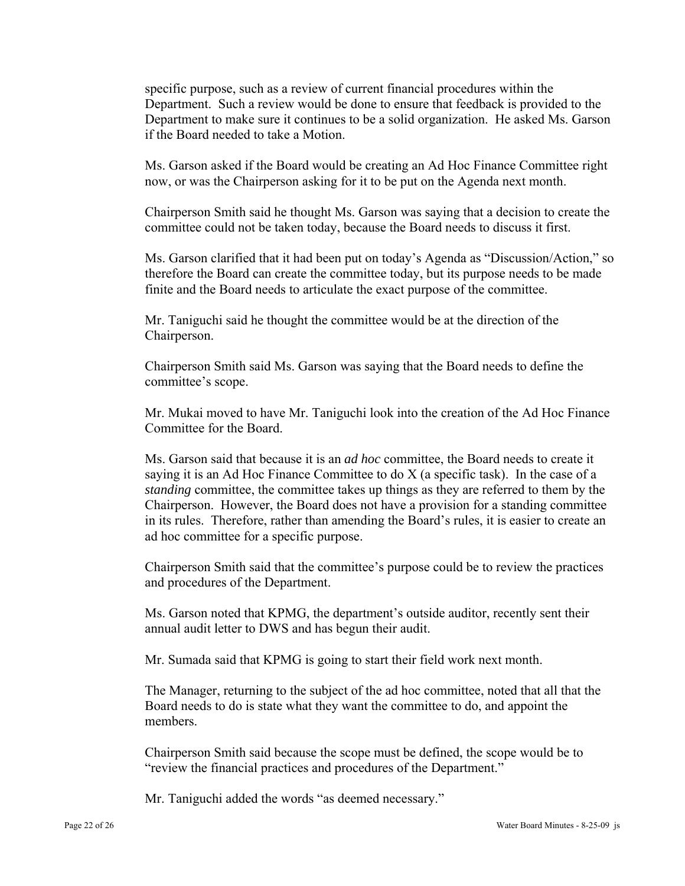specific purpose, such as a review of current financial procedures within the Department. Such a review would be done to ensure that feedback is provided to the Department to make sure it continues to be a solid organization. He asked Ms. Garson if the Board needed to take a Motion.

Ms. Garson asked if the Board would be creating an Ad Hoc Finance Committee right now, or was the Chairperson asking for it to be put on the Agenda next month.

Chairperson Smith said he thought Ms. Garson was saying that a decision to create the committee could not be taken today, because the Board needs to discuss it first.

Ms. Garson clarified that it had been put on today's Agenda as "Discussion/Action," so therefore the Board can create the committee today, but its purpose needs to be made finite and the Board needs to articulate the exact purpose of the committee.

Mr. Taniguchi said he thought the committee would be at the direction of the Chairperson.

Chairperson Smith said Ms. Garson was saying that the Board needs to define the committee's scope.

Mr. Mukai moved to have Mr. Taniguchi look into the creation of the Ad Hoc Finance Committee for the Board.

Ms. Garson said that because it is an *ad hoc* committee, the Board needs to create it saying it is an Ad Hoc Finance Committee to do X (a specific task). In the case of a *standing* committee, the committee takes up things as they are referred to them by the Chairperson. However, the Board does not have a provision for a standing committee in its rules. Therefore, rather than amending the Board's rules, it is easier to create an ad hoc committee for a specific purpose.

Chairperson Smith said that the committee's purpose could be to review the practices and procedures of the Department.

Ms. Garson noted that KPMG, the department's outside auditor, recently sent their annual audit letter to DWS and has begun their audit.

Mr. Sumada said that KPMG is going to start their field work next month.

The Manager, returning to the subject of the ad hoc committee, noted that all that the Board needs to do is state what they want the committee to do, and appoint the members.

Chairperson Smith said because the scope must be defined, the scope would be to "review the financial practices and procedures of the Department."

Mr. Taniguchi added the words "as deemed necessary."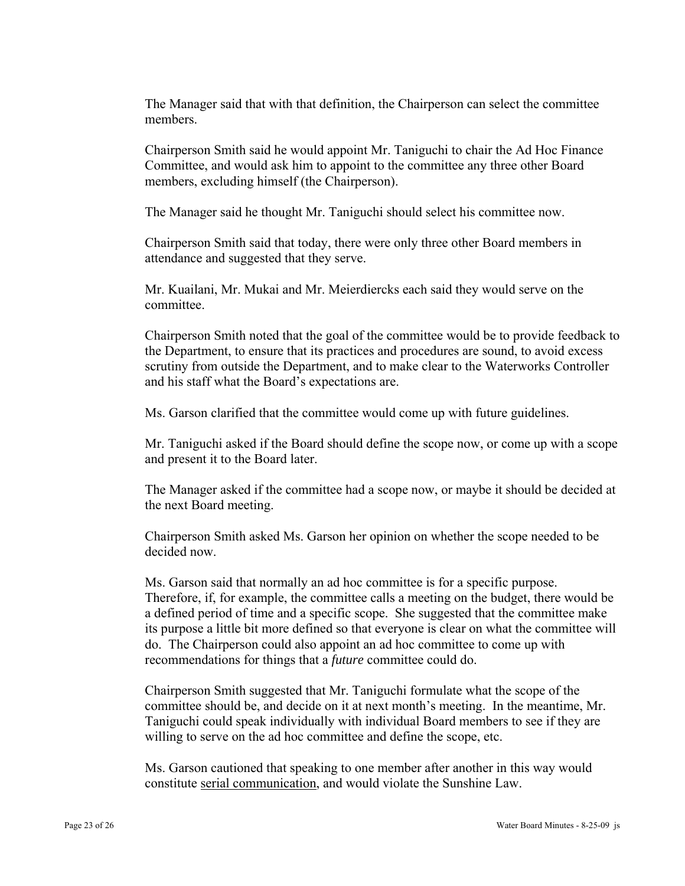The Manager said that with that definition, the Chairperson can select the committee members.

Chairperson Smith said he would appoint Mr. Taniguchi to chair the Ad Hoc Finance Committee, and would ask him to appoint to the committee any three other Board members, excluding himself (the Chairperson).

The Manager said he thought Mr. Taniguchi should select his committee now.

Chairperson Smith said that today, there were only three other Board members in attendance and suggested that they serve.

Mr. Kuailani, Mr. Mukai and Mr. Meierdiercks each said they would serve on the committee.

Chairperson Smith noted that the goal of the committee would be to provide feedback to the Department, to ensure that its practices and procedures are sound, to avoid excess scrutiny from outside the Department, and to make clear to the Waterworks Controller and his staff what the Board's expectations are.

Ms. Garson clarified that the committee would come up with future guidelines.

Mr. Taniguchi asked if the Board should define the scope now, or come up with a scope and present it to the Board later.

The Manager asked if the committee had a scope now, or maybe it should be decided at the next Board meeting.

Chairperson Smith asked Ms. Garson her opinion on whether the scope needed to be decided now.

Ms. Garson said that normally an ad hoc committee is for a specific purpose. Therefore, if, for example, the committee calls a meeting on the budget, there would be a defined period of time and a specific scope. She suggested that the committee make its purpose a little bit more defined so that everyone is clear on what the committee will do. The Chairperson could also appoint an ad hoc committee to come up with recommendations for things that a *future* committee could do.

Chairperson Smith suggested that Mr. Taniguchi formulate what the scope of the committee should be, and decide on it at next month's meeting. In the meantime, Mr. Taniguchi could speak individually with individual Board members to see if they are willing to serve on the ad hoc committee and define the scope, etc.

Ms. Garson cautioned that speaking to one member after another in this way would constitute serial communication, and would violate the Sunshine Law.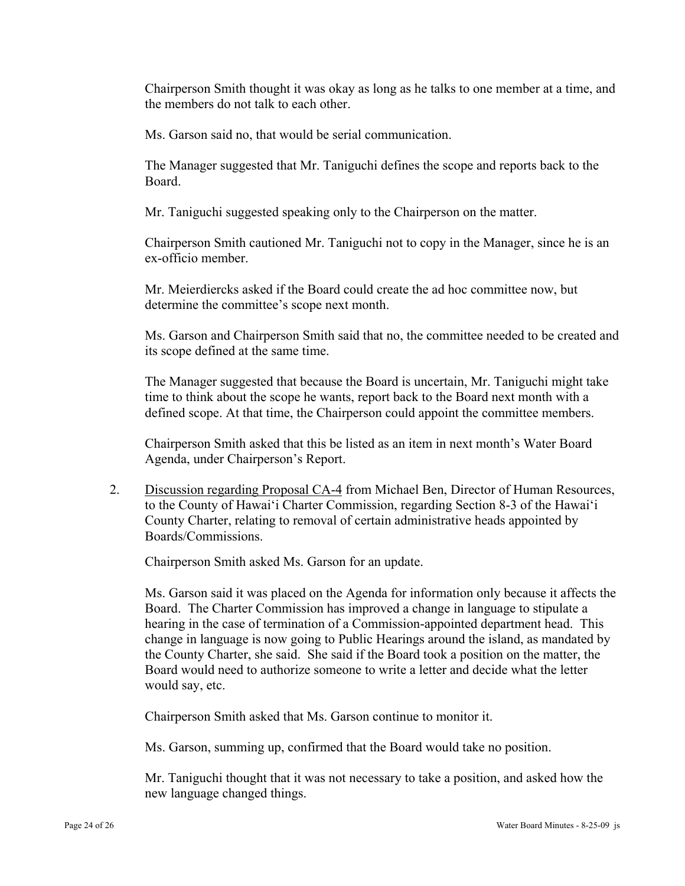Chairperson Smith thought it was okay as long as he talks to one member at a time, and the members do not talk to each other.

Ms. Garson said no, that would be serial communication.

The Manager suggested that Mr. Taniguchi defines the scope and reports back to the Board.

Mr. Taniguchi suggested speaking only to the Chairperson on the matter.

Chairperson Smith cautioned Mr. Taniguchi not to copy in the Manager, since he is an ex-officio member.

Mr. Meierdiercks asked if the Board could create the ad hoc committee now, but determine the committee's scope next month.

Ms. Garson and Chairperson Smith said that no, the committee needed to be created and its scope defined at the same time.

The Manager suggested that because the Board is uncertain, Mr. Taniguchi might take time to think about the scope he wants, report back to the Board next month with a defined scope. At that time, the Chairperson could appoint the committee members.

Chairperson Smith asked that this be listed as an item in next month's Water Board Agenda, under Chairperson's Report.

2. Discussion regarding Proposal CA-4 from Michael Ben, Director of Human Resources, to the County of Hawai'i Charter Commission, regarding Section 8-3 of the Hawai'i County Charter, relating to removal of certain administrative heads appointed by Boards/Commissions.

Chairperson Smith asked Ms. Garson for an update.

Ms. Garson said it was placed on the Agenda for information only because it affects the Board. The Charter Commission has improved a change in language to stipulate a hearing in the case of termination of a Commission-appointed department head. This change in language is now going to Public Hearings around the island, as mandated by the County Charter, she said. She said if the Board took a position on the matter, the Board would need to authorize someone to write a letter and decide what the letter would say, etc.

Chairperson Smith asked that Ms. Garson continue to monitor it.

Ms. Garson, summing up, confirmed that the Board would take no position.

Mr. Taniguchi thought that it was not necessary to take a position, and asked how the new language changed things.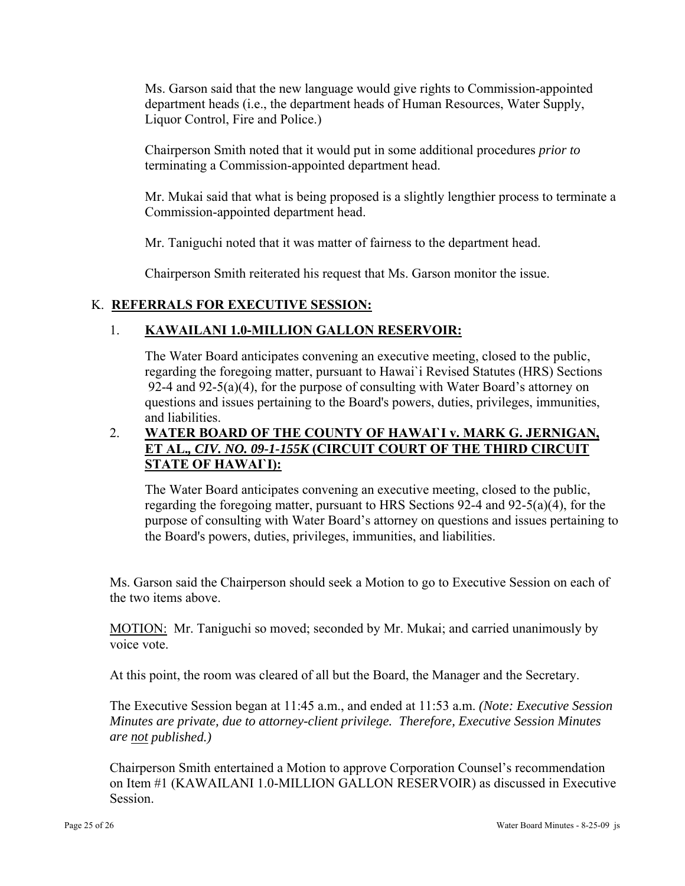Ms. Garson said that the new language would give rights to Commission-appointed department heads (i.e., the department heads of Human Resources, Water Supply, Liquor Control, Fire and Police.)

Chairperson Smith noted that it would put in some additional procedures *prior to* terminating a Commission-appointed department head.

Mr. Mukai said that what is being proposed is a slightly lengthier process to terminate a Commission-appointed department head.

Mr. Taniguchi noted that it was matter of fairness to the department head.

Chairperson Smith reiterated his request that Ms. Garson monitor the issue.

# K. **REFERRALS FOR EXECUTIVE SESSION:**

### 1. **KAWAILANI 1.0-MILLION GALLON RESERVOIR:**

The Water Board anticipates convening an executive meeting, closed to the public, regarding the foregoing matter, pursuant to Hawai`i Revised Statutes (HRS) Sections 92-4 and 92-5(a)(4), for the purpose of consulting with Water Board's attorney on questions and issues pertaining to the Board's powers, duties, privileges, immunities, and liabilities.

# 2. **WATER BOARD OF THE COUNTY OF HAWAI`I v. MARK G. JERNIGAN, ET AL.***, CIV. NO. 09-1-155K* **(CIRCUIT COURT OF THE THIRD CIRCUIT STATE OF HAWAI`I):**

The Water Board anticipates convening an executive meeting, closed to the public, regarding the foregoing matter, pursuant to HRS Sections 92-4 and 92-5(a)(4), for the purpose of consulting with Water Board's attorney on questions and issues pertaining to the Board's powers, duties, privileges, immunities, and liabilities.

Ms. Garson said the Chairperson should seek a Motion to go to Executive Session on each of the two items above.

MOTION: Mr. Taniguchi so moved; seconded by Mr. Mukai; and carried unanimously by voice vote.

At this point, the room was cleared of all but the Board, the Manager and the Secretary.

The Executive Session began at 11:45 a.m., and ended at 11:53 a.m. *(Note: Executive Session Minutes are private, due to attorney-client privilege. Therefore, Executive Session Minutes are not published.)* 

Chairperson Smith entertained a Motion to approve Corporation Counsel's recommendation on Item #1 (KAWAILANI 1.0-MILLION GALLON RESERVOIR) as discussed in Executive Session.